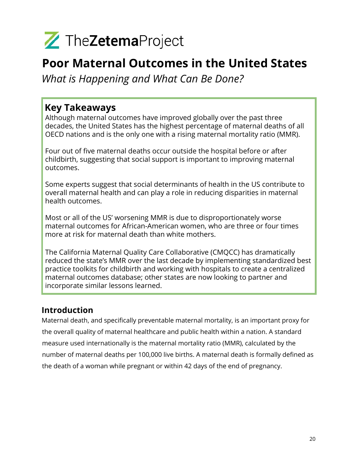

### Poor Maternal Outcomes in the United States

What is Happening and What Can Be Done?

### Key Takeaways

Although maternal outcomes have improved globally over the past three decades, the United States has the highest percentage of maternal deaths of all OECD nations and is the only one with a rising maternal mortality ratio (MMR).

Four out of five maternal deaths occur outside the hospital before or after childbirth, suggesting that social support is important to improving maternal outcomes.

Some experts suggest that social determinants of health in the US contribute to overall maternal health and can play a role in reducing disparities in maternal health outcomes.

Most or all of the US' worsening MMR is due to disproportionately worse maternal outcomes for African-American women, who are three or four times more at risk for maternal death than white mothers.

The California Maternal Quality Care Collaborative (CMQCC) has dramatically reduced the state's MMR over the last decade by implementing standardized best practice toolkits for childbirth and working with hospitals to create a centralized maternal outcomes database; other states are now looking to partner and incorporate similar lessons learned.

### Introduction

Maternal death, and specifically preventable maternal mortality, is an important proxy for the overall quality of maternal healthcare and public health within a nation. A standard measure used internationally is the maternal mortality ratio (MMR), calculated by the number of maternal deaths per 100,000 live births. A maternal death is formally defined as the death of a woman while pregnant or within 42 days of the end of pregnancy.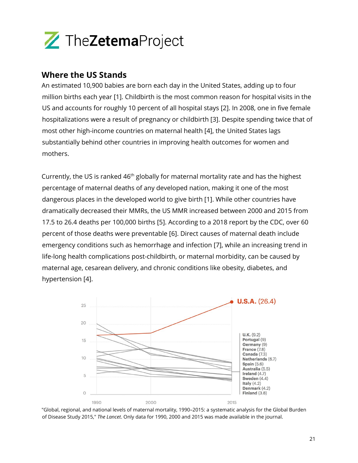

#### Where the US Stands

An estimated 10,900 babies are born each day in the United States, adding up to four million births each year [1]. Childbirth is the most common reason for hospital visits in the US and accounts for roughly 10 percent of all hospital stays [2]. In 2008, one in five female hospitalizations were a result of pregnancy or childbirth [3]. Despite spending twice that of most other high-income countries on maternal health [4], the United States lags substantially behind other countries in improving health outcomes for women and mothers.

Currently, the US is ranked  $46<sup>th</sup>$  globally for maternal mortality rate and has the highest percentage of maternal deaths of any developed nation, making it one of the most dangerous places in the developed world to give birth [1]. While other countries have dramatically decreased their MMRs, the US MMR increased between 2000 and 2015 from 17.5 to 26.4 deaths per 100,000 births [5]. According to a 2018 report by the CDC, over 60 percent of those deaths were preventable [6]. Direct causes of maternal death include emergency conditions such as hemorrhage and infection [7], while an increasing trend in life-long health complications post-childbirth, or maternal morbidity, can be caused by maternal age, cesarean delivery, and chronic conditions like obesity, diabetes, and hypertension [4].



"Global, regional, and national levels of maternal mortality, 1990–2015: a systematic analysis for the Global Burden of Disease Study 2015," The Lancet. Only data for 1990, 2000 and 2015 was made available in the journal.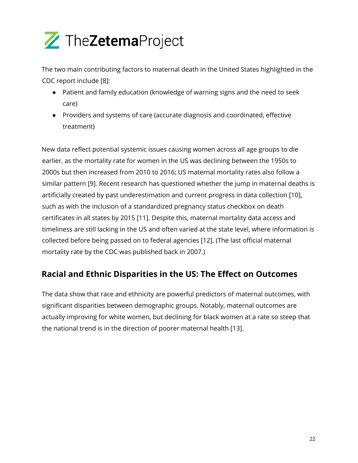

The two main contributing factors to maternal death in the United States highlighted in the CDC report include [8]:

- Patient and family education (knowledge of warning signs and the need to seek care)
- Providers and systems of care (accurate diagnosis and coordinated, effective treatment)

New data reflect potential systemic issues causing women across all age groups to die earlier, as the mortality rate for women in the US was declining between the 1950s to 2000s but then increased from 2010 to 2016; US maternal mortality rates also follow a similar pattern [9]. Recent research has questioned whether the jump in maternal deaths is artificially created by past underestimation and current progress in data collection [10], such as with the inclusion of a standardized pregnancy status checkbox on death certificates in all states by 2015 [11]. Despite this, maternal mortality data access and timeliness are still lacking in the US and often varied at the state level, where information is collected before being passed on to federal agencies [12]. (The last official maternal mortality rate by the CDC was published back in 2007.)

### Racial and Ethnic Disparities in the US: The Effect on Outcomes

The data show that race and ethnicity are powerful predictors of maternal outcomes, with significant disparities between demographic groups. Notably, maternal outcomes are actually improving for white women, but declining for black women at a rate so steep that the national trend is in the direction of poorer maternal health [13].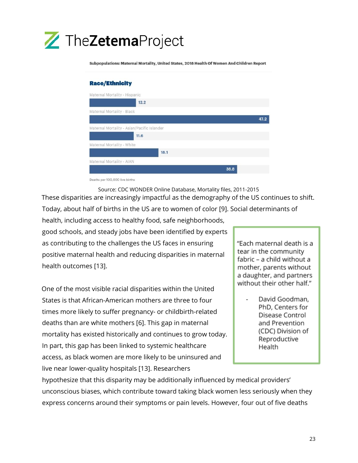

Subpopulations: Maternal Mortality, United States, 2018 Health Of Women And Children Report

#### **Race/Ethnicity** Maternal Mortality - Hispanic  $12.2$ Maternal Mortality - Black 47.2 Maternal Mortality - Asian/Pacific Islander  $11.6$ Maternal Mortality - White  $18.1$ Maternal Mortality - AIAN 38.8

Deaths per 100,000 live births

Source: CDC WONDER Online Database, Mortality files, 2011-2015 These disparities are increasingly impactful as the demography of the US continues to shift. Today, about half of births in the US are to women of color [9]. Social determinants of

health, including access to healthy food, safe neighborhoods, good schools, and steady jobs have been identified by experts as contributing to the challenges the US faces in ensuring positive maternal health and reducing disparities in maternal health outcomes [13].

One of the most visible racial disparities within the United States is that African-American mothers are three to four times more likely to suffer pregnancy- or childbirth-related deaths than are white mothers [6]. This gap in maternal mortality has existed historically and continues to grow today. In part, this gap has been linked to systemic healthcare access, as black women are more likely to be uninsured and live near lower-quality hospitals [13]. Researchers

"Each maternal death is a tear in the community fabric – a child without a mother, parents without a daughter, and partners without their other half."

> David Goodman, PhD, Centers for Disease Control and Prevention (CDC) Division of Reproductive Health

hypothesize that this disparity may be additionally influenced by medical providers' unconscious biases, which contribute toward taking black women less seriously when they express concerns around their symptoms or pain levels. However, four out of five deaths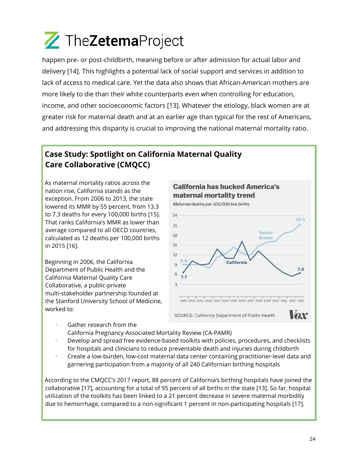happen pre- or post-childbirth, meaning before or after admission for actual labor and delivery [14]. This highlights a potential lack of social support and services in addition to lack of access to medical care. Yet the data also shows that African-American mothers are more likely to die than their white counterparts even when controlling for education, income, and other socioeconomic factors [13]. Whatever the etiology, black women are at greater risk for maternal death and at an earlier age than typical for the rest of Americans, and addressing this disparity is crucial to improving the national maternal mortality ratio.

### Case Study: Spotlight on California Maternal Quality Care Collaborative (CMQCC)

As maternal mortality ratios across the nation rise, California stands as the exception. From 2006 to 2013, the state lowered its MMR by 55 percent, from 13.3 to 7.3 deaths for every 100,000 births [15]. That ranks California's MMR as lower than average compared to all OECD countries, calculated as 12 deaths per 100,000 births in 2015 [16].

Beginning in 2006, the California Department of Public Health and the California Maternal Quality Care Collaborative, a public-private multi-stakeholder partnership founded at the Stanford University School of Medicine, worked to:



- Gather research from the California Pregnancy-Associated Mortality Review (CA-PAMR)
- · Develop and spread free evidence-based toolkits with policies, procedures, and checklists for hospitals and clinicians to reduce preventable death and injuries during childbirth
- · Create a low-burden, low-cost maternal data center containing practitioner-level data and garnering participation from a majority of all 240 Californian birthing hospitals

According to the CMQCC's 2017 report, 88 percent of California's birthing hospitals have joined the collaborative [17], accounting for a total of 95 percent of all births in the state [13]. So far, hospital utilization of the toolkits has been linked to a 21 percent decrease in severe maternal morbidity due to hemorrhage, compared to a non-significant 1 percent in non-participating hospitals [17].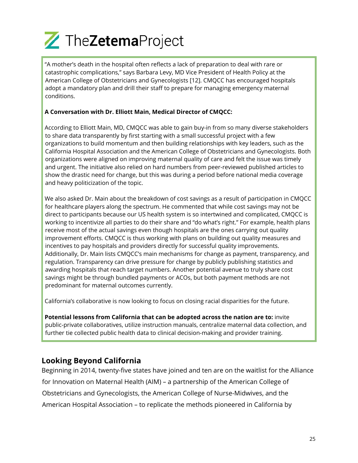

"A mother's death in the hospital often reflects a lack of preparation to deal with rare or catastrophic complications," says Barbara Levy, MD Vice President of Health Policy at the American College of Obstetricians and Gynecologists [12]. CMQCC has encouraged hospitals adopt a mandatory plan and drill their staff to prepare for managing emergency maternal conditions.

#### A Conversation with Dr. Elliott Main, Medical Director of CMQCC:

According to Elliott Main, MD, CMQCC was able to gain buy-in from so many diverse stakeholders to share data transparently by first starting with a small successful project with a few organizations to build momentum and then building relationships with key leaders, such as the California Hospital Association and the American College of Obstetricians and Gynecologists. Both organizations were aligned on improving maternal quality of care and felt the issue was timely and urgent. The initiative also relied on hard numbers from peer-reviewed published articles to show the drastic need for change, but this was during a period before national media coverage and heavy politicization of the topic.

We also asked Dr. Main about the breakdown of cost savings as a result of participation in CMQCC for healthcare players along the spectrum. He commented that while cost savings may not be direct to participants because our US health system is so intertwined and complicated, CMQCC is working to incentivize all parties to do their share and "do what's right." For example, health plans receive most of the actual savings even though hospitals are the ones carrying out quality improvement efforts. CMQCC is thus working with plans on building out quality measures and incentives to pay hospitals and providers directly for successful quality improvements. Additionally, Dr. Main lists CMQCC's main mechanisms for change as payment, transparency, and regulation. Transparency can drive pressure for change by publicly publishing statistics and awarding hospitals that reach target numbers. Another potential avenue to truly share cost savings might be through bundled payments or ACOs, but both payment methods are not predominant for maternal outcomes currently.

California's collaborative is now looking to focus on closing racial disparities for the future.

Potential lessons from California that can be adopted across the nation are to: invite public-private collaboratives, utilize instruction manuals, centralize maternal data collection, and further tie collected public health data to clinical decision-making and provider training.

#### Looking Beyond California

Beginning in 2014, twenty-five states have joined and ten are on the waitlist for the Alliance for Innovation on Maternal Health (AIM) – a partnership of the American College of Obstetricians and Gynecologists, the American College of Nurse-Midwives, and the American Hospital Association – to replicate the methods pioneered in California by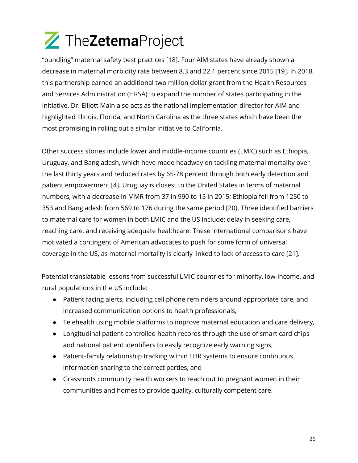"bundling" maternal safety best practices [18]. Four AIM states have already shown a decrease in maternal morbidity rate between 8.3 and 22.1 percent since 2015 [19]. In 2018, this partnership earned an additional two million dollar grant from the Health Resources and Services Administration (HRSA) to expand the number of states participating in the initiative. Dr. Elliott Main also acts as the national implementation director for AIM and highlighted Illinois, Florida, and North Carolina as the three states which have been the most promising in rolling out a similar initiative to California.

Other success stories include lower and middle-income countries (LMIC) such as Ethiopia, Uruguay, and Bangladesh, which have made headway on tackling maternal mortality over the last thirty years and reduced rates by 65-78 percent through both early detection and patient empowerment [4]. Uruguay is closest to the United States in terms of maternal numbers, with a decrease in MMR from 37 in 990 to 15 in 2015; Ethiopia fell from 1250 to 353 and Bangladesh from 569 to 176 during the same period [20]. Three identified barriers to maternal care for women in both LMIC and the US include: delay in seeking care, reaching care, and receiving adequate healthcare. These international comparisons have motivated a contingent of American advocates to push for some form of universal coverage in the US, as maternal mortality is clearly linked to lack of access to care [21].

Potential translatable lessons from successful LMIC countries for minority, low-income, and rural populations in the US include:

- Patient facing alerts, including cell phone reminders around appropriate care, and increased communication options to health professionals,
- Telehealth using mobile platforms to improve maternal education and care delivery,
- Longitudinal patient-controlled health records through the use of smart card chips and national patient identifiers to easily recognize early warning signs,
- Patient-family relationship tracking within EHR systems to ensure continuous information sharing to the correct parties, and
- Grassroots community health workers to reach out to pregnant women in their communities and homes to provide quality, culturally competent care.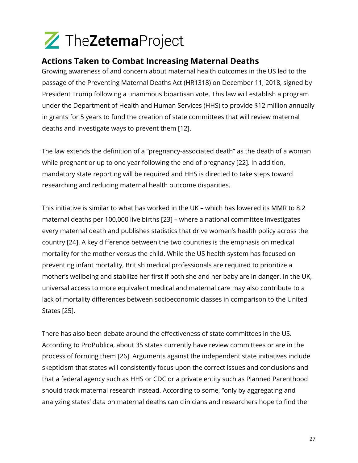### Actions Taken to Combat Increasing Maternal Deaths

Growing awareness of and concern about maternal health outcomes in the US led to the passage of the Preventing Maternal Deaths Act (HR1318) on December 11, 2018, signed by President Trump following a unanimous bipartisan vote. This law will establish a program under the Department of Health and Human Services (HHS) to provide \$12 million annually in grants for 5 years to fund the creation of state committees that will review maternal deaths and investigate ways to prevent them [12].

The law extends the definition of a "pregnancy-associated death" as the death of a woman while pregnant or up to one year following the end of pregnancy [22]. In addition, mandatory state reporting will be required and HHS is directed to take steps toward researching and reducing maternal health outcome disparities.

This initiative is similar to what has worked in the UK – which has lowered its MMR to 8.2 maternal deaths per 100,000 live births [23] – where a national committee investigates every maternal death and publishes statistics that drive women's health policy across the country [24]. A key difference between the two countries is the emphasis on medical mortality for the mother versus the child. While the US health system has focused on preventing infant mortality, British medical professionals are required to prioritize a mother's wellbeing and stabilize her first if both she and her baby are in danger. In the UK, universal access to more equivalent medical and maternal care may also contribute to a lack of mortality differences between socioeconomic classes in comparison to the United States [25].

There has also been debate around the effectiveness of state committees in the US. According to ProPublica, about 35 states currently have review committees or are in the process of forming them [26]. Arguments against the independent state initiatives include skepticism that states will consistently focus upon the correct issues and conclusions and that a federal agency such as HHS or CDC or a private entity such as Planned Parenthood should track maternal research instead. According to some, "only by aggregating and analyzing states' data on maternal deaths can clinicians and researchers hope to find the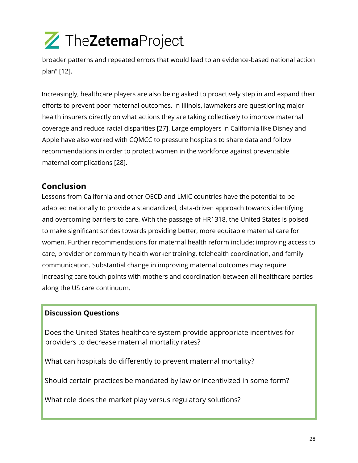broader patterns and repeated errors that would lead to an evidence-based national action plan" [12].

Increasingly, healthcare players are also being asked to proactively step in and expand their efforts to prevent poor maternal outcomes. In Illinois, lawmakers are questioning major health insurers directly on what actions they are taking collectively to improve maternal coverage and reduce racial disparities [27]. Large employers in California like Disney and Apple have also worked with CQMCC to pressure hospitals to share data and follow recommendations in order to protect women in the workforce against preventable maternal complications [28].

### Conclusion

Lessons from California and other OECD and LMIC countries have the potential to be adapted nationally to provide a standardized, data-driven approach towards identifying and overcoming barriers to care. With the passage of HR1318, the United States is poised to make significant strides towards providing better, more equitable maternal care for women. Further recommendations for maternal health reform include: improving access to care, provider or community health worker training, telehealth coordination, and family communication. Substantial change in improving maternal outcomes may require increasing care touch points with mothers and coordination between all healthcare parties along the US care continuum.

#### Discussion Questions

Does the United States healthcare system provide appropriate incentives for providers to decrease maternal mortality rates?

What can hospitals do differently to prevent maternal mortality?

Should certain practices be mandated by law or incentivized in some form?

What role does the market play versus regulatory solutions?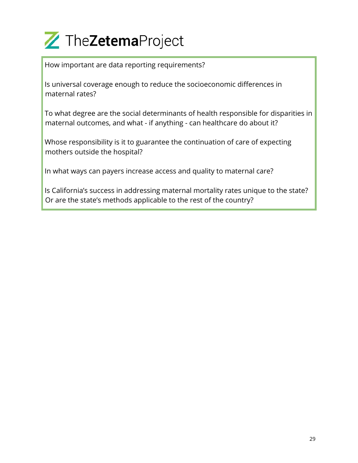How important are data reporting requirements?

Is universal coverage enough to reduce the socioeconomic differences in maternal rates?

To what degree are the social determinants of health responsible for disparities in maternal outcomes, and what - if anything - can healthcare do about it?

Whose responsibility is it to guarantee the continuation of care of expecting mothers outside the hospital?

In what ways can payers increase access and quality to maternal care?

Is California's success in addressing maternal mortality rates unique to the state? Or are the state's methods applicable to the rest of the country?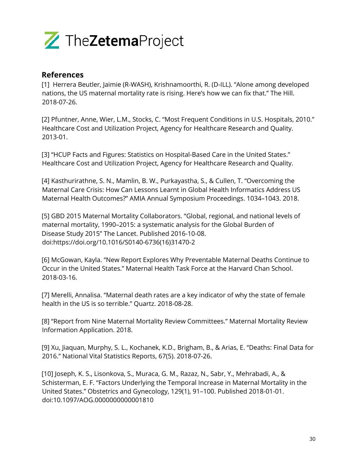

#### References

[1] Herrera Beutler, Jaimie (R-WASH), Krishnamoorthi, R. (D-ILL). "Alone among developed nations, the US maternal mortality rate is rising. Here's how we can fix that." The Hill. 2018-07-26.

[2] Pfuntner, Anne, Wier, L.M., Stocks, C. "Most Frequent Conditions in U.S. Hospitals, 2010." Healthcare Cost and Utilization Project, Agency for Healthcare Research and Quality. 2013-01.

[3] "HCUP Facts and Figures: Statistics on Hospital-Based Care in the United States." Healthcare Cost and Utilization Project, Agency for Healthcare Research and Quality.

[4] Kasthurirathne, S. N., Mamlin, B. W., Purkayastha, S., & Cullen, T. "Overcoming the Maternal Care Crisis: How Can Lessons Learnt in Global Health Informatics Address US Maternal Health Outcomes?" AMIA Annual Symposium Proceedings. 1034–1043. 2018.

[5] GBD 2015 Maternal Mortality Collaborators. "Global, regional, and national levels of maternal mortality, 1990–2015: a systematic analysis for the Global Burden of Disease Study 2015" The Lancet. Published 2016-10-08. doi:https://doi.org/10.1016/S0140-6736(16)31470-2

[6] McGowan, Kayla. "New Report Explores Why Preventable Maternal Deaths Continue to Occur in the United States." Maternal Health Task Force at the Harvard Chan School. 2018-03-16.

[7] Merelli, Annalisa. "Maternal death rates are a key indicator of why the state of female health in the US is so terrible." Quartz. 2018-08-28.

[8] "Report from Nine Maternal Mortality Review Committees." Maternal Mortality Review Information Application. 2018.

[9] Xu, Jiaquan, Murphy, S. L., Kochanek, K.D., Brigham, B., & Arias, E. "Deaths: Final Data for 2016." National Vital Statistics Reports, 67(5). 2018-07-26.

[10] Joseph, K. S., Lisonkova, S., Muraca, G. M., Razaz, N., Sabr, Y., Mehrabadi, A., & Schisterman, E. F. "Factors Underlying the Temporal Increase in Maternal Mortality in the United States." Obstetrics and Gynecology, 129(1), 91–100. Published 2018-01-01. doi:10.1097/AOG.0000000000001810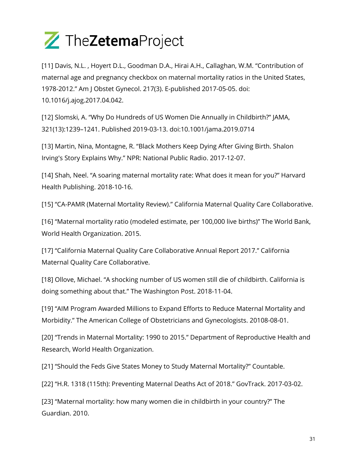

[11] Davis, N.L. , Hoyert D.L., Goodman D.A., Hirai A.H., Callaghan, W.M. "Contribution of maternal age and pregnancy checkbox on maternal mortality ratios in the United States, 1978-2012." Am J Obstet Gynecol. 217(3). E-published 2017-05-05. doi: 10.1016/j.ajog.2017.04.042.

[12] Slomski, A. "Why Do Hundreds of US Women Die Annually in Childbirth?" JAMA, 321(13):1239–1241. Published 2019-03-13. doi:10.1001/jama.2019.0714

[13] Martin, Nina, Montagne, R. "Black Mothers Keep Dying After Giving Birth. Shalon Irving's Story Explains Why." NPR: National Public Radio. 2017-12-07.

[14] Shah, Neel. "A soaring maternal mortality rate: What does it mean for you?" Harvard Health Publishing. 2018-10-16.

[15] "CA-PAMR (Maternal Mortality Review)." California Maternal Quality Care Collaborative.

[16] "Maternal mortality ratio (modeled estimate, per 100,000 live births)" The World Bank, World Health Organization. 2015.

[17] "California Maternal Quality Care Collaborative Annual Report 2017." California Maternal Quality Care Collaborative.

[18] Ollove, Michael. "A shocking number of US women still die of childbirth. California is doing something about that." The Washington Post. 2018-11-04.

[19] "AIM Program Awarded Millions to Expand Efforts to Reduce Maternal Mortality and Morbidity." The American College of Obstetricians and Gynecologists. 20108-08-01.

[20] "Trends in Maternal Mortality: 1990 to 2015." Department of Reproductive Health and Research, World Health Organization.

[21] "Should the Feds Give States Money to Study Maternal Mortality?" Countable.

[22] "H.R. 1318 (115th): Preventing Maternal Deaths Act of 2018." GovTrack. 2017-03-02.

[23] "Maternal mortality: how many women die in childbirth in your country?" The Guardian. 2010.